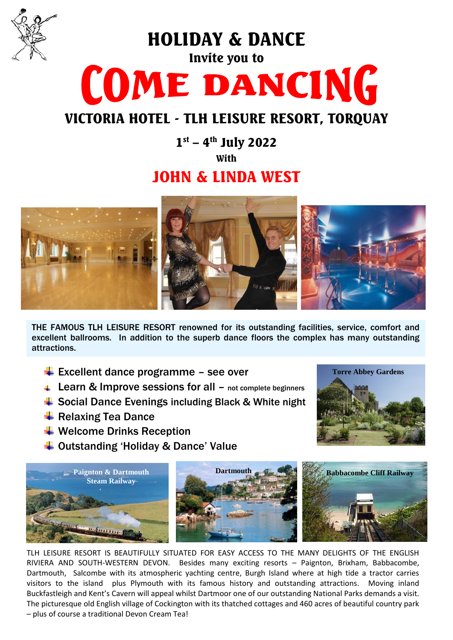

HOLIDAY & DANCE

# Invite you to COME DANCING

# VICTORIA HOTEL - TLH LEISURE RESORT, TORQUAY

 $1^{st}$  – 4<sup>th</sup> July 2022 With

## JOHN & LINDA WEST



THE FAMOUS TLH LEISURE RESORT renowned for its outstanding facilities, service, comfort and excellent ballrooms. In addition to the superb dance floors the complex has many outstanding attractions.

- $\overline{\text{L}}$  Excellent dance programme see over
- **↓ Learn & Improve sessions for all not complete beginners**
- **↓ Social Dance Evenings including Black & White night**
- $\overline{\phantom{a}}$  Relaxing Tea Dance
- $\ddot$  Welcome Drinks Reception
- **↓ Outstanding 'Holiday & Dance' Value**



TLH LEISURE RESORT IS BEAUTIFULLY SITUATED FOR EASY ACCESS TO THE MANY DELIGHTS OF THE ENGLISH RIVIERA AND SOUTH-WESTERN DEVON. Besides many exciting resorts – Paignton, Brixham, Babbacombe, Dartmouth, Salcombe with its atmospheric yachting centre, Burgh Island where at high tide a tractor carries visitors to the island plus Plymouth with its famous history and outstanding attractions. Moving inland Buckfastleigh and Kent's Cavern will appeal whilst Dartmoor one of our outstanding National Parks demands a visit. The picturesque old English village of Cockington with its thatched cottages and 460 acres of beautiful country park – plus of course a traditional Devon Cream Tea!